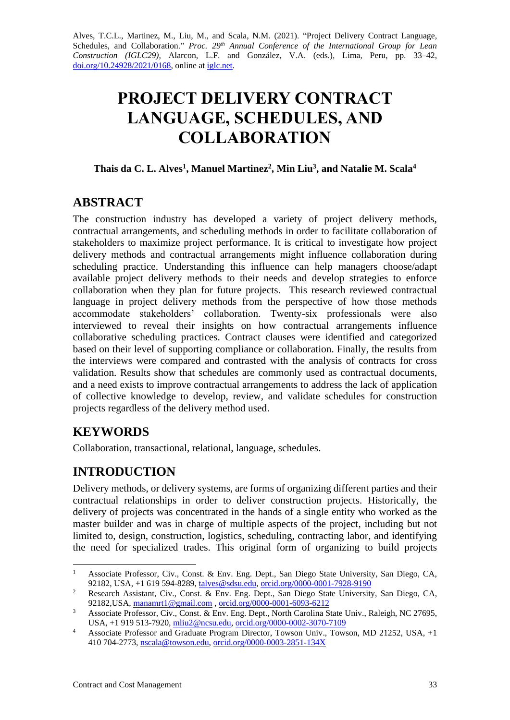Alves, T.C.L., Martinez, M., Liu, M., and Scala, N.M. (2021). "Project Delivery Contract Language, Schedules, and Collaboration." *Proc. 29<sup>th</sup> Annual Conference of the International Group for Lean Construction (IGLC29),* Alarcon, L.F. and González, V.A. (eds.)*,* Lima, Peru, pp. 33–42, [doi.org/10.24928/2021/0168,](https://doi.org/10.24928/2021/0168) online a[t iglc.net.](http://iglc.net/)

# **PROJECT DELIVERY CONTRACT LANGUAGE, SCHEDULES, AND COLLABORATION**

## **Thais da C. L. Alves<sup>1</sup> , Manuel Martinez<sup>2</sup> , Min Liu<sup>3</sup> , and Natalie M. Scala<sup>4</sup>**

# **ABSTRACT**

The construction industry has developed a variety of project delivery methods, contractual arrangements, and scheduling methods in order to facilitate collaboration of stakeholders to maximize project performance. It is critical to investigate how project delivery methods and contractual arrangements might influence collaboration during scheduling practice. Understanding this influence can help managers choose/adapt available project delivery methods to their needs and develop strategies to enforce collaboration when they plan for future projects. This research reviewed contractual language in project delivery methods from the perspective of how those methods accommodate stakeholders' collaboration. Twenty-six professionals were also interviewed to reveal their insights on how contractual arrangements influence collaborative scheduling practices. Contract clauses were identified and categorized based on their level of supporting compliance or collaboration. Finally, the results from the interviews were compared and contrasted with the analysis of contracts for cross validation. Results show that schedules are commonly used as contractual documents, and a need exists to improve contractual arrangements to address the lack of application of collective knowledge to develop, review, and validate schedules for construction projects regardless of the delivery method used.

# **KEYWORDS**

Collaboration, transactional, relational, language, schedules.

# **INTRODUCTION**

Delivery methods, or delivery systems, are forms of organizing different parties and their contractual relationships in order to deliver construction projects. Historically, the delivery of projects was concentrated in the hands of a single entity who worked as the master builder and was in charge of multiple aspects of the project, including but not limited to, design, construction, logistics, scheduling, contracting labor, and identifying the need for specialized trades. This original form of organizing to build projects

<sup>&</sup>lt;sup>1</sup> Associate Professor, Civ., Const. & Env. Eng. Dept., San Diego State University, San Diego, CA, 92182, USA, +1 619 594-8289, [talves@sdsu.edu,](mailto:talves@sdsu.edu) [orcid.org/0000-0001-7928-9190](https://orcid.org/0000-0001-7928-9190)

<sup>&</sup>lt;sup>2</sup> Research Assistant, Civ., Const. & Env. Eng. Dept., San Diego State University, San Diego, CA, 92182,USA, [manamrt1@gmail.com](mailto:manamrt1@gmail.com) , [orcid.org/0000-0001-6093-6212](https://orcid.org/0000-0001-6093-6212)

<sup>&</sup>lt;sup>3</sup> Associate Professor, Civ., Const. & Env. Eng. Dept., North Carolina State Univ., Raleigh, NC 27695, USA, +1 919 513-7920, [mliu2@ncsu.edu,](mailto:mliu2@ncsu.edu) [orcid.org/0000-0002-3070-7109](http://orcid.org/0000-0002-3070-7109)

<sup>&</sup>lt;sup>4</sup> Associate Professor and Graduate Program Director, Towson Univ., Towson, MD 21252, USA, +1 410 704-2773, [nscala@towson.edu,](mailto:nscala@towson.edu) [orcid.org/0000-0003-2851-134X](http://orcid.org/0000-0003-2851-134X)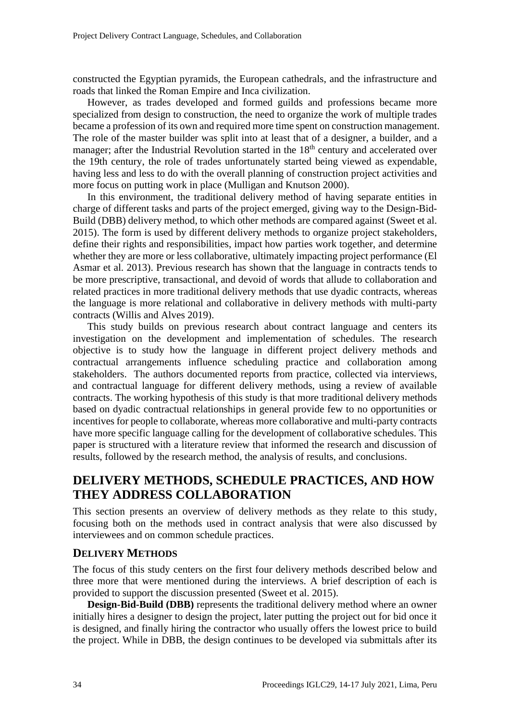constructed the Egyptian pyramids, the European cathedrals, and the infrastructure and roads that linked the Roman Empire and Inca civilization.

However, as trades developed and formed guilds and professions became more specialized from design to construction, the need to organize the work of multiple trades became a profession of its own and required more time spent on construction management. The role of the master builder was split into at least that of a designer, a builder, and a manager; after the Industrial Revolution started in the  $18<sup>th</sup>$  century and accelerated over the 19th century, the role of trades unfortunately started being viewed as expendable, having less and less to do with the overall planning of construction project activities and more focus on putting work in place (Mulligan and Knutson 2000).

In this environment, the traditional delivery method of having separate entities in charge of different tasks and parts of the project emerged, giving way to the Design-Bid-Build (DBB) delivery method, to which other methods are compared against (Sweet et al. 2015). The form is used by different delivery methods to organize project stakeholders, define their rights and responsibilities, impact how parties work together, and determine whether they are more or less collaborative, ultimately impacting project performance (El Asmar et al. 2013). Previous research has shown that the language in contracts tends to be more prescriptive, transactional, and devoid of words that allude to collaboration and related practices in more traditional delivery methods that use dyadic contracts, whereas the language is more relational and collaborative in delivery methods with multi-party contracts (Willis and Alves 2019).

This study builds on previous research about contract language and centers its investigation on the development and implementation of schedules. The research objective is to study how the language in different project delivery methods and contractual arrangements influence scheduling practice and collaboration among stakeholders. The authors documented reports from practice, collected via interviews, and contractual language for different delivery methods, using a review of available contracts. The working hypothesis of this study is that more traditional delivery methods based on dyadic contractual relationships in general provide few to no opportunities or incentives for people to collaborate, whereas more collaborative and multi-party contracts have more specific language calling for the development of collaborative schedules. This paper is structured with a literature review that informed the research and discussion of results, followed by the research method, the analysis of results, and conclusions.

# **DELIVERY METHODS, SCHEDULE PRACTICES, AND HOW THEY ADDRESS COLLABORATION**

This section presents an overview of delivery methods as they relate to this study, focusing both on the methods used in contract analysis that were also discussed by interviewees and on common schedule practices.

## **DELIVERY METHODS**

The focus of this study centers on the first four delivery methods described below and three more that were mentioned during the interviews. A brief description of each is provided to support the discussion presented (Sweet et al. 2015).

**Design-Bid-Build (DBB)** represents the traditional delivery method where an owner initially hires a designer to design the project, later putting the project out for bid once it is designed, and finally hiring the contractor who usually offers the lowest price to build the project. While in DBB, the design continues to be developed via submittals after its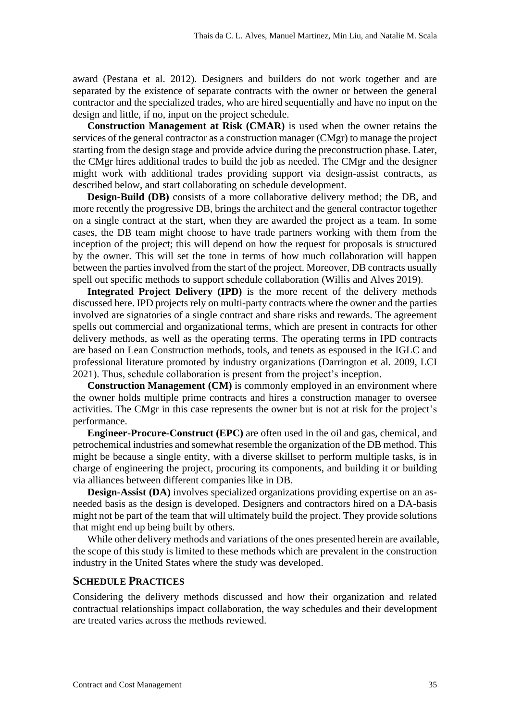award (Pestana et al. 2012). Designers and builders do not work together and are separated by the existence of separate contracts with the owner or between the general contractor and the specialized trades, who are hired sequentially and have no input on the design and little, if no, input on the project schedule.

**Construction Management at Risk (CMAR)** is used when the owner retains the services of the general contractor as a construction manager (CMgr) to manage the project starting from the design stage and provide advice during the preconstruction phase. Later, the CMgr hires additional trades to build the job as needed. The CMgr and the designer might work with additional trades providing support via design-assist contracts, as described below, and start collaborating on schedule development.

**Design-Build (DB)** consists of a more collaborative delivery method; the DB, and more recently the progressive DB, brings the architect and the general contractor together on a single contract at the start, when they are awarded the project as a team. In some cases, the DB team might choose to have trade partners working with them from the inception of the project; this will depend on how the request for proposals is structured by the owner. This will set the tone in terms of how much collaboration will happen between the parties involved from the start of the project. Moreover, DB contracts usually spell out specific methods to support schedule collaboration (Willis and Alves 2019).

**Integrated Project Delivery (IPD)** is the more recent of the delivery methods discussed here. IPD projects rely on multi-party contracts where the owner and the parties involved are signatories of a single contract and share risks and rewards. The agreement spells out commercial and organizational terms, which are present in contracts for other delivery methods, as well as the operating terms. The operating terms in IPD contracts are based on Lean Construction methods, tools, and tenets as espoused in the IGLC and professional literature promoted by industry organizations (Darrington et al. 2009, LCI 2021). Thus, schedule collaboration is present from the project's inception.

**Construction Management (CM)** is commonly employed in an environment where the owner holds multiple prime contracts and hires a construction manager to oversee activities. The CMgr in this case represents the owner but is not at risk for the project's performance.

**Engineer-Procure-Construct (EPC)** are often used in the oil and gas, chemical, and petrochemical industries and somewhat resemble the organization of the DB method. This might be because a single entity, with a diverse skillset to perform multiple tasks, is in charge of engineering the project, procuring its components, and building it or building via alliances between different companies like in DB.

**Design-Assist (DA)** involves specialized organizations providing expertise on an asneeded basis as the design is developed. Designers and contractors hired on a DA-basis might not be part of the team that will ultimately build the project. They provide solutions that might end up being built by others.

While other delivery methods and variations of the ones presented herein are available, the scope of this study is limited to these methods which are prevalent in the construction industry in the United States where the study was developed.

#### **SCHEDULE PRACTICES**

Considering the delivery methods discussed and how their organization and related contractual relationships impact collaboration, the way schedules and their development are treated varies across the methods reviewed.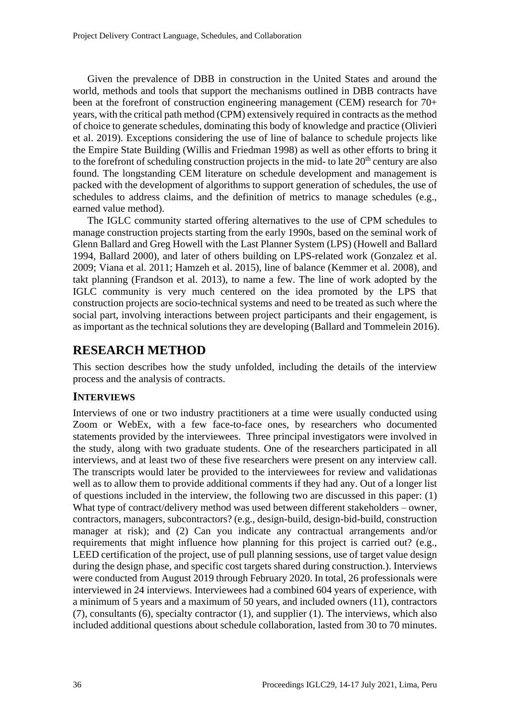Given the prevalence of DBB in construction in the United States and around the world, methods and tools that support the mechanisms outlined in DBB contracts have been at the forefront of construction engineering management (CEM) research for 70+ years, with the critical path method (CPM) extensively required in contracts as the method of choice to generate schedules, dominating this body of knowledge and practice (Olivieri et al. 2019). Exceptions considering the use of line of balance to schedule projects like the Empire State Building (Willis and Friedman 1998) as well as other efforts to bring it to the forefront of scheduling construction projects in the mid- to late  $20<sup>th</sup>$  century are also found. The longstanding CEM literature on schedule development and management is packed with the development of algorithms to support generation of schedules, the use of schedules to address claims, and the definition of metrics to manage schedules (e.g., earned value method).

The IGLC community started offering alternatives to the use of CPM schedules to manage construction projects starting from the early 1990s, based on the seminal work of Glenn Ballard and Greg Howell with the Last Planner System (LPS) (Howell and Ballard 1994, Ballard 2000), and later of others building on LPS-related work (Gonzalez et al. 2009; Viana et al. 2011; Hamzeh et al. 2015), line of balance (Kemmer et al. 2008), and takt planning (Frandson et al. 2013), to name a few. The line of work adopted by the IGLC community is very much centered on the idea promoted by the LPS that construction projects are socio-technical systems and need to be treated as such where the social part, involving interactions between project participants and their engagement, is as important as the technical solutions they are developing (Ballard and Tommelein 2016).

## **RESEARCH METHOD**

This section describes how the study unfolded, including the details of the interview process and the analysis of contracts.

## **INTERVIEWS**

Interviews of one or two industry practitioners at a time were usually conducted using Zoom or WebEx, with a few face-to-face ones, by researchers who documented statements provided by the interviewees. Three principal investigators were involved in the study, along with two graduate students. One of the researchers participated in all interviews, and at least two of these five researchers were present on any interview call. The transcripts would later be provided to the interviewees for review and validationas well as to allow them to provide additional comments if they had any. Out of a longer list of questions included in the interview, the following two are discussed in this paper: (1) What type of contract/delivery method was used between different stakeholders – owner, contractors, managers, subcontractors? (e.g., design-build, design-bid-build, construction manager at risk); and (2) Can you indicate any contractual arrangements and/or requirements that might influence how planning for this project is carried out? (e.g., LEED certification of the project, use of pull planning sessions, use of target value design during the design phase, and specific cost targets shared during construction.). Interviews were conducted from August 2019 through February 2020. In total, 26 professionals were interviewed in 24 interviews. Interviewees had a combined 604 years of experience, with a minimum of 5 years and a maximum of 50 years, and included owners (11), contractors (7), consultants (6), specialty contractor (1), and supplier (1). The interviews, which also included additional questions about schedule collaboration, lasted from 30 to 70 minutes.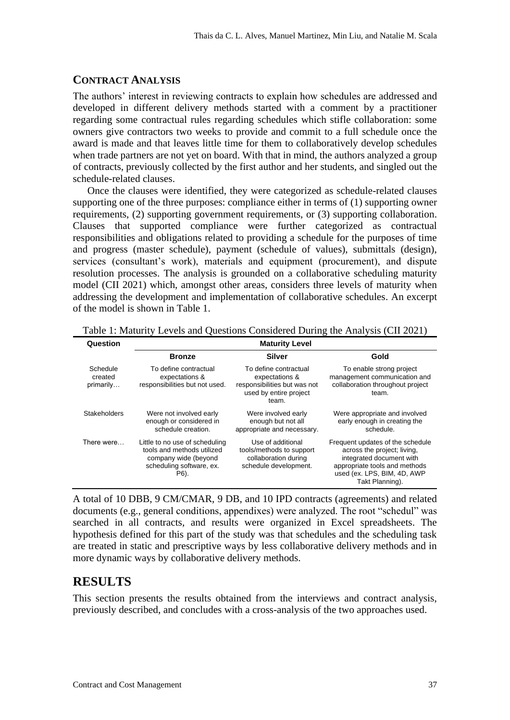## **CONTRACT ANALYSIS**

The authors' interest in reviewing contracts to explain how schedules are addressed and developed in different delivery methods started with a comment by a practitioner regarding some contractual rules regarding schedules which stifle collaboration: some owners give contractors two weeks to provide and commit to a full schedule once the award is made and that leaves little time for them to collaboratively develop schedules when trade partners are not yet on board. With that in mind, the authors analyzed a group of contracts, previously collected by the first author and her students, and singled out the schedule-related clauses.

Once the clauses were identified, they were categorized as schedule-related clauses supporting one of the three purposes: compliance either in terms of (1) supporting owner requirements, (2) supporting government requirements, or (3) supporting collaboration. Clauses that supported compliance were further categorized as contractual responsibilities and obligations related to providing a schedule for the purposes of time and progress (master schedule), payment (schedule of values), submittals (design), services (consultant's work), materials and equipment (procurement), and dispute resolution processes. The analysis is grounded on a collaborative scheduling maturity model (CII 2021) which, amongst other areas, considers three levels of maturity when addressing the development and implementation of collaborative schedules. An excerpt of the model is shown in Table 1.

| Question                         | <b>Maturity Level</b>                                                                                                    |                                                                                                            |                                                                                                                                                                                |  |  |  |
|----------------------------------|--------------------------------------------------------------------------------------------------------------------------|------------------------------------------------------------------------------------------------------------|--------------------------------------------------------------------------------------------------------------------------------------------------------------------------------|--|--|--|
|                                  | <b>Bronze</b>                                                                                                            | <b>Silver</b>                                                                                              | Gold                                                                                                                                                                           |  |  |  |
| Schedule<br>created<br>primarily | To define contractual<br>expectations &<br>responsibilities but not used.                                                | To define contractual<br>expectations &<br>responsibilities but was not<br>used by entire project<br>team. | To enable strong project<br>management communication and<br>collaboration throughout project<br>team.                                                                          |  |  |  |
| Stakeholders                     | Were not involved early<br>enough or considered in<br>schedule creation.                                                 | Were involved early<br>enough but not all<br>appropriate and necessary.                                    | Were appropriate and involved<br>early enough in creating the<br>schedule.                                                                                                     |  |  |  |
| There were                       | Little to no use of scheduling<br>tools and methods utilized<br>company wide (beyond<br>scheduling software, ex.<br>P6). | Use of additional<br>tools/methods to support<br>collaboration during<br>schedule development.             | Frequent updates of the schedule<br>across the project; living,<br>integrated document with<br>appropriate tools and methods<br>used (ex. LPS, BIM, 4D, AWP<br>Takt Planning). |  |  |  |

Table 1: Maturity Levels and Questions Considered During the Analysis (CII 2021)

A total of 10 DBB, 9 CM/CMAR, 9 DB, and 10 IPD contracts (agreements) and related documents (e.g., general conditions, appendixes) were analyzed. The root "schedul" was searched in all contracts, and results were organized in Excel spreadsheets. The hypothesis defined for this part of the study was that schedules and the scheduling task are treated in static and prescriptive ways by less collaborative delivery methods and in more dynamic ways by collaborative delivery methods.

# **RESULTS**

This section presents the results obtained from the interviews and contract analysis, previously described, and concludes with a cross-analysis of the two approaches used.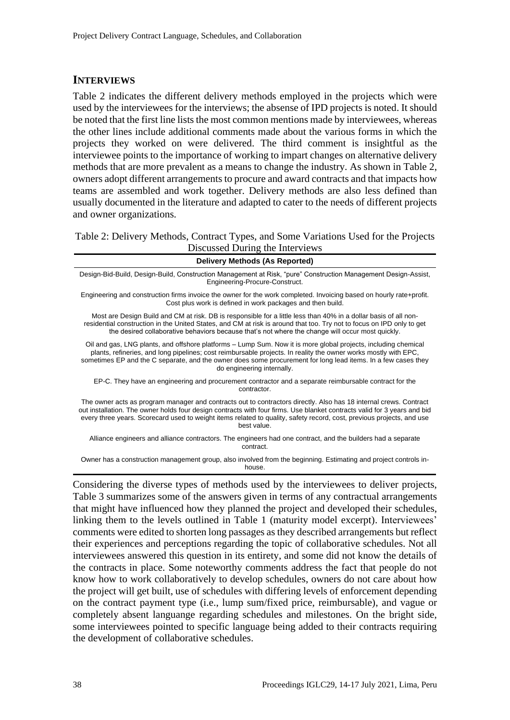#### **INTERVIEWS**

Table 2 indicates the different delivery methods employed in the projects which were used by the interviewees for the interviews; the absense of IPD projects is noted. It should be noted that the first line lists the most common mentions made by interviewees, whereas the other lines include additional comments made about the various forms in which the projects they worked on were delivered. The third comment is insightful as the interviewee points to the importance of working to impart changes on alternative delivery methods that are more prevalent as a means to change the industry. As shown in Table 2, owners adopt different arrangements to procure and award contracts and that impacts how teams are assembled and work together. Delivery methods are also less defined than usually documented in the literature and adapted to cater to the needs of different projects and owner organizations.

Table 2: Delivery Methods, Contract Types, and Some Variations Used for the Projects Discussed During the Interviews

| <b>Delivery Methods (As Reported)</b>                                                                                                                                                                                                                                                                                                                                                 |
|---------------------------------------------------------------------------------------------------------------------------------------------------------------------------------------------------------------------------------------------------------------------------------------------------------------------------------------------------------------------------------------|
|                                                                                                                                                                                                                                                                                                                                                                                       |
| Design-Bid-Build, Design-Build, Construction Management at Risk, "pure" Construction Management Design-Assist,<br>Engineering-Procure-Construct.                                                                                                                                                                                                                                      |
| Engineering and construction firms invoice the owner for the work completed. Invoicing based on hourly rate+profit.<br>Cost plus work is defined in work packages and then build.                                                                                                                                                                                                     |
| Most are Design Build and CM at risk. DB is responsible for a little less than 40% in a dollar basis of all non-<br>residential construction in the United States, and CM at risk is around that too. Try not to focus on IPD only to get<br>the desired collaborative behaviors because that's not where the change will occur most quickly.                                         |
| Oil and gas, LNG plants, and offshore platforms – Lump Sum. Now it is more global projects, including chemical<br>plants, refineries, and long pipelines; cost reimbursable projects. In reality the owner works mostly with EPC,<br>sometimes EP and the C separate, and the owner does some procurement for long lead items. In a few cases they<br>do engineering internally.      |
| EP-C. They have an engineering and procurement contractor and a separate reimbursable contract for the<br>contractor.                                                                                                                                                                                                                                                                 |
| The owner acts as program manager and contracts out to contractors directly. Also has 18 internal crews. Contract<br>out installation. The owner holds four design contracts with four firms. Use blanket contracts valid for 3 years and bid<br>every three years. Scorecard used to weight items related to quality, safety record, cost, previous projects, and use<br>best value. |
| Alliance engineers and alliance contractors. The engineers had one contract, and the builders had a separate<br>contract.                                                                                                                                                                                                                                                             |
| Owner has a construction management group, also involved from the beginning. Estimating and project controls in-<br>house.                                                                                                                                                                                                                                                            |
| Considering the diverse types of methods used by the interviewees to deliver projects,                                                                                                                                                                                                                                                                                                |

Table 3 summarizes some of the answers given in terms of any contractual arrangements that might have influenced how they planned the project and developed their schedules, linking them to the levels outlined in Table 1 (maturity model excerpt). Interviewees' comments were edited to shorten long passages as they described arrangements but reflect their experiences and perceptions regarding the topic of collaborative schedules. Not all interviewees answered this question in its entirety, and some did not know the details of the contracts in place. Some noteworthy comments address the fact that people do not know how to work collaboratively to develop schedules, owners do not care about how the project will get built, use of schedules with differing levels of enforcement depending on the contract payment type (i.e., lump sum/fixed price, reimbursable), and vague or completely absent languange regarding schedules and milestones. On the bright side, some interviewees pointed to specific language being added to their contracts requiring the development of collaborative schedules.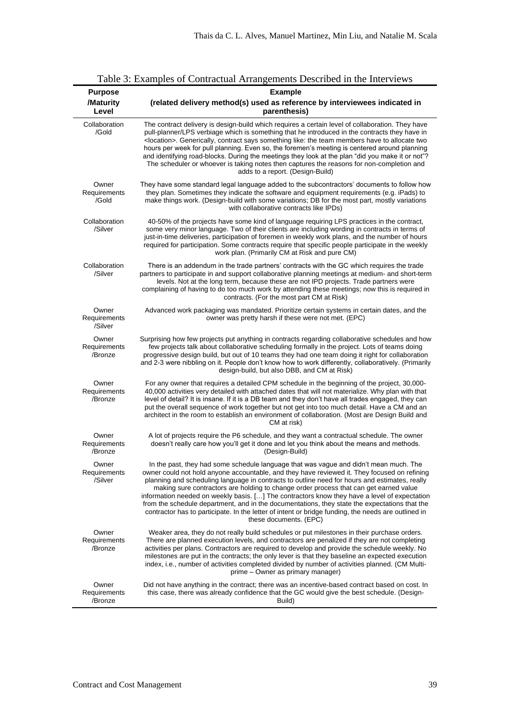| $10010$ , $10001$<br>pros of Contractual Fritangements Described in the filter views<br><b>Example</b><br><b>Purpose</b> |                                                                                                                                                                                                                                                                                                                                                                                                                                                                                                                                                                                                                                                                                                                   |  |  |  |  |  |  |
|--------------------------------------------------------------------------------------------------------------------------|-------------------------------------------------------------------------------------------------------------------------------------------------------------------------------------------------------------------------------------------------------------------------------------------------------------------------------------------------------------------------------------------------------------------------------------------------------------------------------------------------------------------------------------------------------------------------------------------------------------------------------------------------------------------------------------------------------------------|--|--|--|--|--|--|
| /Maturity<br>Level                                                                                                       | (related delivery method(s) used as reference by interviewees indicated in<br>parenthesis)                                                                                                                                                                                                                                                                                                                                                                                                                                                                                                                                                                                                                        |  |  |  |  |  |  |
| Collaboration<br>/Gold                                                                                                   | The contract delivery is design-build which requires a certain level of collaboration. They have<br>pull-planner/LPS verbiage which is something that he introduced in the contracts they have in<br><location>. Generically, contract says something like: the team members have to allocate two<br/>hours per week for pull planning. Even so, the foremen's meeting is centered around planning<br/>and identifying road-blocks. During the meetings they look at the plan "did you make it or not"?<br/>The scheduler or whoever is taking notes then captures the reasons for non-completion and<br/>adds to a report. (Design-Build)</location>                                                             |  |  |  |  |  |  |
| Owner<br>Requirements<br>/Gold                                                                                           | They have some standard legal language added to the subcontractors' documents to follow how<br>they plan. Sometimes they indicate the software and equipment requirements (e.g. iPads) to<br>make things work. (Design-build with some variations; DB for the most part, mostly variations<br>with collaborative contracts like IPDs)                                                                                                                                                                                                                                                                                                                                                                             |  |  |  |  |  |  |
| Collaboration<br>/Silver                                                                                                 | 40-50% of the projects have some kind of language requiring LPS practices in the contract,<br>some very minor language. Two of their clients are including wording in contracts in terms of<br>just-in-time deliveries, participation of foremen in weekly work plans, and the number of hours<br>required for participation. Some contracts require that specific people participate in the weekly<br>work plan. (Primarily CM at Risk and pure CM)                                                                                                                                                                                                                                                              |  |  |  |  |  |  |
| Collaboration<br>/Silver                                                                                                 | There is an addendum in the trade partners' contracts with the GC which requires the trade<br>partners to participate in and support collaborative planning meetings at medium- and short-term<br>levels. Not at the long term, because these are not IPD projects. Trade partners were<br>complaining of having to do too much work by attending these meetings; now this is required in<br>contracts. (For the most part CM at Risk)                                                                                                                                                                                                                                                                            |  |  |  |  |  |  |
| Owner<br>Requirements<br>/Silver                                                                                         | Advanced work packaging was mandated. Prioritize certain systems in certain dates, and the<br>owner was pretty harsh if these were not met. (EPC)                                                                                                                                                                                                                                                                                                                                                                                                                                                                                                                                                                 |  |  |  |  |  |  |
| Owner<br>Requirements<br>/Bronze                                                                                         | Surprising how few projects put anything in contracts regarding collaborative schedules and how<br>few projects talk about collaborative scheduling formally in the project. Lots of teams doing<br>progressive design build, but out of 10 teams they had one team doing it right for collaboration<br>and 2-3 were nibbling on it. People don't know how to work differently, collaboratively. (Primarily<br>design-build, but also DBB, and CM at Risk)                                                                                                                                                                                                                                                        |  |  |  |  |  |  |
| Owner<br>Requirements<br>/Bronze                                                                                         | For any owner that requires a detailed CPM schedule in the beginning of the project, 30,000-<br>40,000 activities very detailed with attached dates that will not materialize. Why plan with that<br>level of detail? It is insane. If it is a DB team and they don't have all trades engaged, they can<br>put the overall sequence of work together but not get into too much detail. Have a CM and an<br>architect in the room to establish an environment of collaboration. (Most are Design Build and<br>CM at risk)                                                                                                                                                                                          |  |  |  |  |  |  |
| Owner<br>Requirements<br>/Bronze                                                                                         | A lot of projects require the P6 schedule, and they want a contractual schedule. The owner<br>doesn't really care how you'll get it done and let you think about the means and methods.<br>(Design-Build)                                                                                                                                                                                                                                                                                                                                                                                                                                                                                                         |  |  |  |  |  |  |
| Owner<br>Requirements<br>/Silver                                                                                         | In the past, they had some schedule language that was vague and didn't mean much. The<br>owner could not hold anyone accountable, and they have reviewed it. They focused on refining<br>planning and scheduling language in contracts to outline need for hours and estimates, really<br>making sure contractors are holding to change order process that can get earned value<br>information needed on weekly basis. [] The contractors know they have a level of expectation<br>from the schedule department, and in the documentations, they state the expectations that the<br>contractor has to participate. In the letter of intent or bridge funding, the needs are outlined in<br>these documents. (EPC) |  |  |  |  |  |  |
| Owner<br>Requirements<br>/Bronze                                                                                         | Weaker area, they do not really build schedules or put milestones in their purchase orders.<br>There are planned execution levels, and contractors are penalized if they are not completing<br>activities per plans. Contractors are required to develop and provide the schedule weekly. No<br>milestones are put in the contracts; the only lever is that they baseline an expected execution<br>index, i.e., number of activities completed divided by number of activities planned. (CM Multi-<br>prime - Owner as primary manager)                                                                                                                                                                           |  |  |  |  |  |  |
| Owner<br>Requirements<br>/Bronze                                                                                         | Did not have anything in the contract; there was an incentive-based contract based on cost. In<br>this case, there was already confidence that the GC would give the best schedule. (Design-<br>Build)                                                                                                                                                                                                                                                                                                                                                                                                                                                                                                            |  |  |  |  |  |  |

|  | Table 3: Examples of Contractual Arrangements Described in the Interviews |  |  |
|--|---------------------------------------------------------------------------|--|--|
|  |                                                                           |  |  |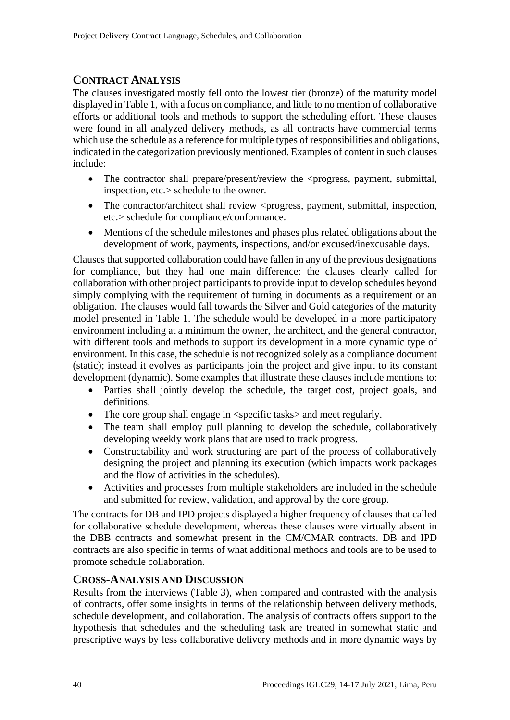## **CONTRACT ANALYSIS**

The clauses investigated mostly fell onto the lowest tier (bronze) of the maturity model displayed in Table 1, with a focus on compliance, and little to no mention of collaborative efforts or additional tools and methods to support the scheduling effort. These clauses were found in all analyzed delivery methods, as all contracts have commercial terms which use the schedule as a reference for multiple types of responsibilities and obligations, indicated in the categorization previously mentioned. Examples of content in such clauses include:

- The contractor shall prepare/present/review the <progress, payment, submittal, inspection, etc.> schedule to the owner.
- The contractor/architect shall review  $\langle$ progress, payment, submittal, inspection, etc.> schedule for compliance/conformance.
- Mentions of the schedule milestones and phases plus related obligations about the development of work, payments, inspections, and/or excused/inexcusable days.

Clauses that supported collaboration could have fallen in any of the previous designations for compliance, but they had one main difference: the clauses clearly called for collaboration with other project participants to provide input to develop schedules beyond simply complying with the requirement of turning in documents as a requirement or an obligation. The clauses would fall towards the Silver and Gold categories of the maturity model presented in Table 1. The schedule would be developed in a more participatory environment including at a minimum the owner, the architect, and the general contractor, with different tools and methods to support its development in a more dynamic type of environment. In this case, the schedule is not recognized solely as a compliance document (static); instead it evolves as participants join the project and give input to its constant development (dynamic). Some examples that illustrate these clauses include mentions to:

- Parties shall jointly develop the schedule, the target cost, project goals, and definitions.
- The core group shall engage in  $\langle$  specific tasks $>$  and meet regularly.
- The team shall employ pull planning to develop the schedule, collaboratively developing weekly work plans that are used to track progress.
- Constructability and work structuring are part of the process of collaboratively designing the project and planning its execution (which impacts work packages and the flow of activities in the schedules).
- Activities and processes from multiple stakeholders are included in the schedule and submitted for review, validation, and approval by the core group.

The contracts for DB and IPD projects displayed a higher frequency of clauses that called for collaborative schedule development, whereas these clauses were virtually absent in the DBB contracts and somewhat present in the CM/CMAR contracts. DB and IPD contracts are also specific in terms of what additional methods and tools are to be used to promote schedule collaboration.

#### **CROSS-ANALYSIS AND DISCUSSION**

Results from the interviews (Table 3), when compared and contrasted with the analysis of contracts, offer some insights in terms of the relationship between delivery methods, schedule development, and collaboration. The analysis of contracts offers support to the hypothesis that schedules and the scheduling task are treated in somewhat static and prescriptive ways by less collaborative delivery methods and in more dynamic ways by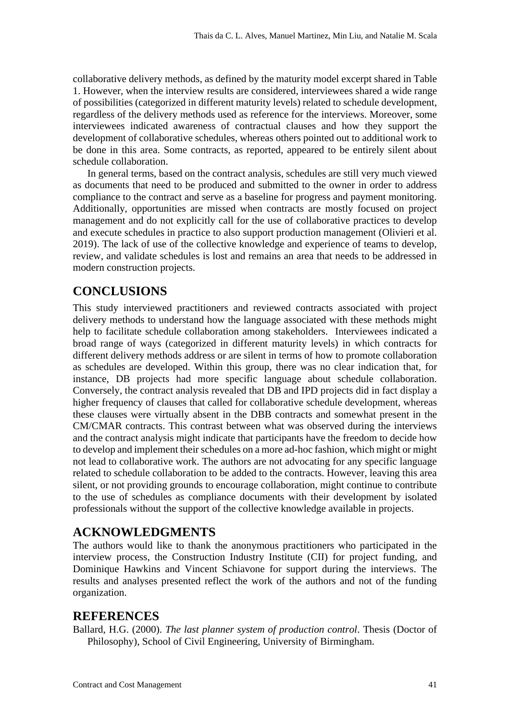collaborative delivery methods, as defined by the maturity model excerpt shared in Table 1. However, when the interview results are considered, interviewees shared a wide range of possibilities (categorized in different maturity levels) related to schedule development, regardless of the delivery methods used as reference for the interviews. Moreover, some interviewees indicated awareness of contractual clauses and how they support the development of collaborative schedules, whereas others pointed out to additional work to be done in this area. Some contracts, as reported, appeared to be entirely silent about schedule collaboration.

In general terms, based on the contract analysis, schedules are still very much viewed as documents that need to be produced and submitted to the owner in order to address compliance to the contract and serve as a baseline for progress and payment monitoring. Additionally, opportunities are missed when contracts are mostly focused on project management and do not explicitly call for the use of collaborative practices to develop and execute schedules in practice to also support production management (Olivieri et al. 2019). The lack of use of the collective knowledge and experience of teams to develop, review, and validate schedules is lost and remains an area that needs to be addressed in modern construction projects.

# **CONCLUSIONS**

This study interviewed practitioners and reviewed contracts associated with project delivery methods to understand how the language associated with these methods might help to facilitate schedule collaboration among stakeholders. Interviewees indicated a broad range of ways (categorized in different maturity levels) in which contracts for different delivery methods address or are silent in terms of how to promote collaboration as schedules are developed. Within this group, there was no clear indication that, for instance, DB projects had more specific language about schedule collaboration. Conversely, the contract analysis revealed that DB and IPD projects did in fact display a higher frequency of clauses that called for collaborative schedule development, whereas these clauses were virtually absent in the DBB contracts and somewhat present in the CM/CMAR contracts. This contrast between what was observed during the interviews and the contract analysis might indicate that participants have the freedom to decide how to develop and implement their schedules on a more ad-hoc fashion, which might or might not lead to collaborative work. The authors are not advocating for any specific language related to schedule collaboration to be added to the contracts. However, leaving this area silent, or not providing grounds to encourage collaboration, might continue to contribute to the use of schedules as compliance documents with their development by isolated professionals without the support of the collective knowledge available in projects.

## **ACKNOWLEDGMENTS**

The authors would like to thank the anonymous practitioners who participated in the interview process, the Construction Industry Institute (CII) for project funding, and Dominique Hawkins and Vincent Schiavone for support during the interviews. The results and analyses presented reflect the work of the authors and not of the funding organization.

#### **REFERENCES**

Ballard, H.G. (2000). *The last planner system of production control*. Thesis (Doctor of Philosophy), School of Civil Engineering, University of Birmingham*.*